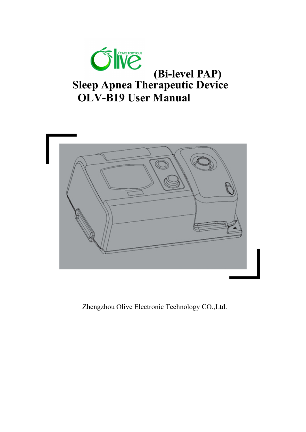



Zhengzhou Olive Electronic Technology CO.,Ltd.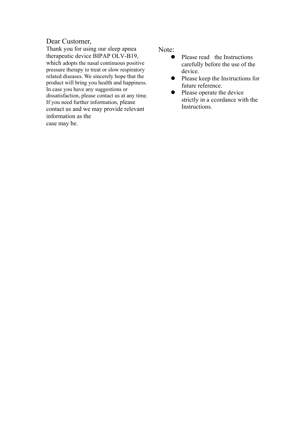## Dear Customer,

Thank you for using our sleep apnea therapeutic device BIPAP OLV-B19, which adopts the nasal continuous positive pressure therapy to treat or slow respiratory related diseases. We sincerely hope that the product will bring you health and happiness. In case you have any suggestions or dissatisfaction, please contact us at any time. If you need further information, please contact us and we may provide relevant information as the case may be.

Note:

- Please read the Instructions carefully before the use of the device.
- Please keep the Instructions for future reference.
- Please operate the device strictly in a ccordance with the Instructions.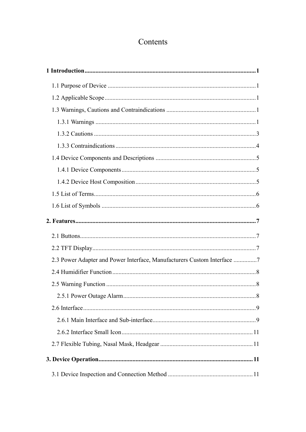# Contents

| 2.3 Power Adapter and Power Interface, Manufacturers Custom Interface 7 |     |
|-------------------------------------------------------------------------|-----|
|                                                                         |     |
|                                                                         |     |
| 2.5.1 Power Outage Alarm                                                | . 8 |
|                                                                         |     |
|                                                                         |     |
|                                                                         |     |
|                                                                         |     |
|                                                                         |     |
|                                                                         |     |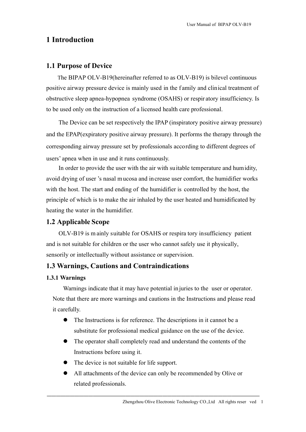# **1 Introduction**

## **1.1 Purpose of Device**

The BIPAP OLV-B19(hereinafter referred to as OLV-B19) is bilevel continuous positive airway pressure device is mainly used in the f amily and clinical treatment of obstructive sleep apnea-hypopnea syndrome (OSAHS) or respir atory insufficiency. Is to be used only on the instruction of a licensed health care professional.

The Device can be set respectively the IPAP (inspiratory positive airway pressure) and the EPAP(expiratory positive airway pressure). It performs the therapy through the corresponding airway pressure set by professionals according to different degrees of users' apnea when in use and it runs continuously.

In order to provide the user with the air with suitable temperature and humidity, avoid drying of user 's nasal mucosa and increase user comfort, the humidifier works with the host. The start and ending of the humidifier is controlled by the host, the principle of which is to make the air inhaled by the user heated and humidificated by heating the water in the humidifier.

## **1.2 Applicable Scope**

OLV-B19 is m ainly suitable for OSAHS or respira tory insufficiency patient and is not suitable for children or the user who cannot safely use it physically, sensorily or intellectually without assistance or supervision.

## **1.3 Warnings, Cautions and Contraindications**

#### **1.3.1 Warnings**

Warnings indicate that it may have potential in juries to the user or operator. Note that there are more warnings and cautions in the Instructions and please read it carefully.

- The Instructions is for reference. The descriptions in it cannot be a substitute for professional medical guidance on the use of the device.
- The operator shall completely read and understand the contents of the Instructions before using it.
- The device is not suitable for life support.
- All attachments of the device can only be recommended by Olive or related professionals.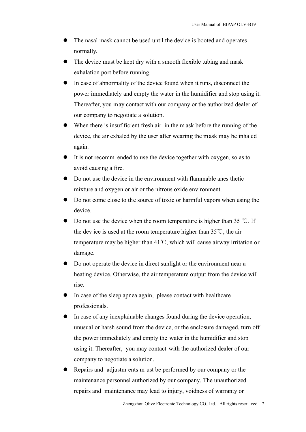- The nasal mask cannot be used until the device is booted and operates normally.
- The device must be kept dry with a smooth flexible tubing and mask exhalation port before running.
- In case of abnormality of the device found when it runs, disconnect the power immediately and empty the water in the humidifier and stop using it. Thereafter, you may contact with our company or the authorized dealer of our company to negotiate a solution.
- When there is insuf ficient fresh air in the m ask before the running of the device, the air exhaled by the user after wearing the mask may be inhaled again.
- It is not recomm ended to use the device together with oxygen, so as to avoid causing a fire.
- Do not use the device in the environment with flammable anes thetic mixture and oxygen or air or the nitrous oxide environment.
- Do not come close to the source of toxic or harmful vapors when using the device.
- Do not use the device when the room temperature is higher than 35 °C. If the dev ice is used at the room temperature higher than  $35^{\circ}$ C, the air temperature may be higher than 41℃, which will cause airway irritation or damage.
- Do not operate the device in direct sunlight or the environment near a heating device. Otherwise, the air temperature output from the device will rise.
- In case of the sleep apnea again, please contact with healthcare professionals.
- In case of any inexplainable changes found during the device operation, unusual or harsh sound from the device, or the enclosure damaged, turn off the power immediately and empty the water in the humidifier and stop using it. Thereafter, you may contact with the authorized dealer of our company to negotiate a solution.
- Repairs and adjustm ents m ust be performed by our company or the maintenance personnel authorized by our company. The unauthorized repairs and maintenance may lead to injury, voidness of warranty or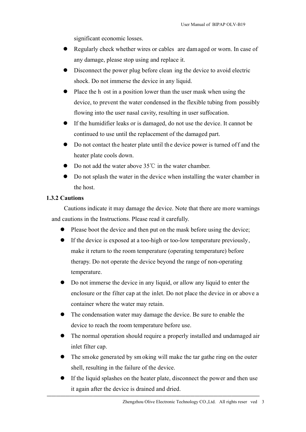significant economic losses.

- Regularly check whether wires or cables are damaged or worn. In case of any damage, please stop using and replace it.
- Disconnect the power plug before clean ing the device to avoid electric shock. Do not immerse the device in any liquid.
- Place the h ost in a position lower than the user mask when using the device, to prevent the water condensed in the flexible tubing from possibly flowing into the user nasal cavity, resulting in user suffocation.
- If the humidifier leaks or is damaged, do not use the device. It cannot be continued to use until the replacement of the damaged part.
- Do not contact the heater plate until the device power is turned of f and the heater plate cools down.
- Do not add the water above  $35^{\circ}$  in the water chamber.
- Do not splash the water in the device when installing the water chamber in the host.

#### **1.3.2 Cautions**

Cautions indicate it may damage the device. Note that there are more warnings and cautions in the Instructions. Please read it carefully.

- Please boot the device and then put on the mask before using the device;
- $\bullet$  If the device is exposed at a too-high or too-low temperature previously, make it return to the room temperature (operating temperature) before therapy. Do not operate the device beyond the range of non-operating temperature.
- Do not immerse the device in any liquid, or allow any liquid to enter the enclosure or the filter cap at the inlet. Do not place the device in or above a container where the water may retain.
- The condensation water may damage the device. Be sure to enable the device to reach the room temperature before use.
- The normal operation should require a properly installed and undamaged air inlet filter cap.
- The smoke generated by smoking will make the tar gathe ring on the outer shell, resulting in the failure of the device.
- If the liquid splashes on the heater plate, disconnect the power and then use it again after the device is drained and dried.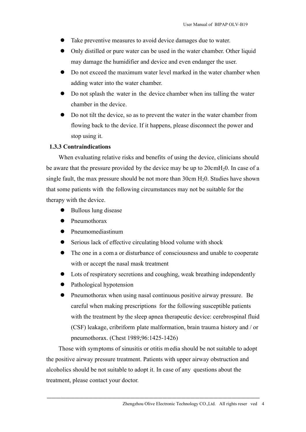- Take preventive measures to avoid device damages due to water.
- Only distilled or pure water can be used in the water chamber. Other liquid may damage the humidifier and device and even endanger the user.
- Do not exceed the maximum water level marked in the water chamber when adding water into the water chamber.
- Do not splash the water in the device chamber when ins talling the water chamber in the device.
- Do not tilt the device, so as to prevent the water in the water chamber from flowing back to the device. If it happens, please disconnect the power and stop using it.

#### **1.3.3 Contraindications**

When evaluating relative risks and benefits of using the device, clinicians should be aware that the pressure provided by the device may be up to 20cmH20. In case of a single fault, the max pressure should be not more than  $30 \text{cm H}_2$ . Studies have shown that some patients with the following circumstances may not be suitable for the therapy with the device.

- Bullous lung disease
- Pneumothorax
- Pneumomediastinum
- Serious lack of effective circulating blood volume with shock
- The one in a com a or disturbance of consciousness and unable to cooperate with or accept the nasal mask treatment
- Lots of respiratory secretions and coughing, weak breathing independently
- Pathological hypotension
- Pneumothorax when using nasal continuous positive airway pressure. Be careful when making prescriptions for the following susceptible patients with the treatment by the sleep apnea therapeutic device: cerebrospinal fluid (CSF) leakage, cribriform plate malformation, brain trauma history and / or pneumothorax. (Chest 1989;96:1425-1426)

Those with symptoms of sinusitis or otitis m edia should be not suitable to adopt the positive airway pressure treatment. Patients with upper airway obstruction and alcoholics should be not suitable to adopt it. In case of any questions about the treatment, please contact your doctor.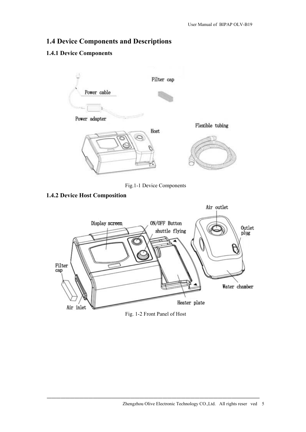## **1.4 Device Components and Descriptions**

## **1.4.1 Device Components**



Fig.1-1 Device Components

## **1.4.2 Device Host Composition**

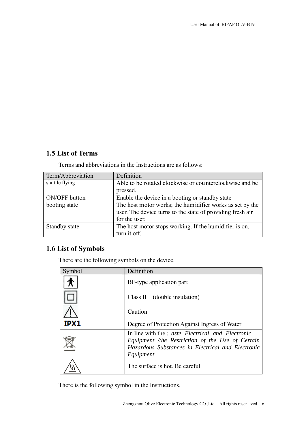## **1.5 List of Terms**

Terms and abbreviations in the Instructions are as follows:

| Term/Abbreviation | Definition                                                 |
|-------------------|------------------------------------------------------------|
| shuttle flying    | Able to be rotated clockwise or counterclockwise and be    |
|                   | pressed.                                                   |
| ON/OFF button     | Enable the device in a booting or standby state            |
| booting state     | The host motor works; the humidifier works as set by the   |
|                   | user. The device turns to the state of providing fresh air |
|                   | for the user.                                              |
| Standby state     | The host motor stops working. If the humidifier is on,     |
|                   | turn it off.                                               |

# **1.6 List of Symbols**

There are the following symbols on the device.

| Symbol | Definition                                                                                                                                                              |
|--------|-------------------------------------------------------------------------------------------------------------------------------------------------------------------------|
|        | BF-type application part                                                                                                                                                |
|        | Class II (double insulation)                                                                                                                                            |
|        | Caution                                                                                                                                                                 |
| IPX1   | Degree of Protection Against Ingress of Water                                                                                                                           |
|        | In line with the Y aste Electrical and Electronic<br>Equipment /the Restriction of the Use of Certain<br>Hazardous Substances in Electrical and Electronic<br>Equipment |
|        | The surface is hot. Be careful.                                                                                                                                         |

──────────────────────────────────────────────

There is the following symbol in the Instructions.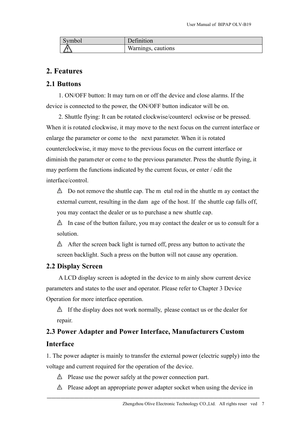| Symbol | Definition         |
|--------|--------------------|
|        | Warnings, cautions |

## **2. Features**

## **2.1 Buttons**

1. ON/OFF button: It may turn on or off the device and close alarms. If the device is connected to the power, the ON/OFF button indicator will be on.

2. Shuttle flying: It can be rotated clockwise/countercl ockwise or be pressed. When it is rotated clockwise, it may move to the next focus on the current interface or enlarge the parameter or come to the next parameter. When it is rotated counterclockwise, it may move to the previous focus on the current interface or diminish the parameter or come to the previous parameter. Press the shuttle flying, it may perform the functions indicated by the current focus, or enter / edit the interface/control.

 $\triangle$  Do not remove the shuttle cap. The m etal rod in the shuttle m ay contact the external current, resulting in the dam age of the host. If the shuttle cap falls off, you may contact the dealer or us to purchase a new shuttle cap.

 $\triangle$  In case of the button failure, you may contact the dealer or us to consult for a solution.

 $\triangle$  After the screen back light is turned off, press any button to activate the screen backlight. Such a press on the button will not cause any operation.

## **2.2 Display Screen**

A LCD display screen is adopted in the device to m ainly show current device parameters and states to the user and operator. Please refer to Chapter 3 Device Operation for more interface operation.

 $\triangle$  If the display does not work normally, please contact us or the dealer for repair.

# **2.3 Power Adapter and Power Interface, Manufacturers Custom Interface**

1. The power adapter is mainly to transfer the external power (electric supply) into the voltage and current required for the operation of the device.

- $\triangle$  Please use the power safely at the power connection part.
- $\triangle$  Please adopt an appropriate power adapter socket when using the device in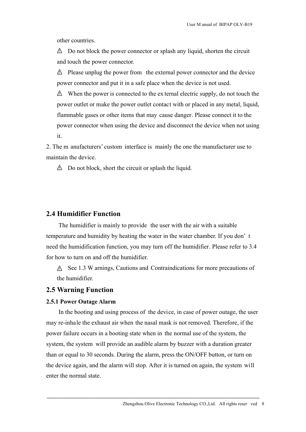other countries.

 $\triangle$  Do not block the power connector or splash any liquid, shorten the circuit and touch the power connector.

 $\triangle$  Please unplug the power from the external power connector and the device power connector and put it in a safe place when the device is not used.

 $\triangle$  When the power is connected to the ex ternal electric supply, do not touch the power outlet or make the power outlet contact with or placed in any metal, liquid, flammable gases or other items that may cause danger. Please connect it to the power connector when using the device and disconnect the device when not using it.

2. The m anufacturers' custom interface is mainly the one the manufacturer use to maintain the device.

 $\triangle$  Do not block, short the circuit or splash the liquid.

#### **2.4 Humidifier Function**

The humidifier is mainly to provide the user with the air with a suitable temperature and humidity by heating the water in the water chamber. If you don' t need the humidification function, you may turn off the humidifier. Please refer to 3.4 for how to turn on and off the humidifier.

A See 1.3 W arnings, Cautions and Contraindications for more precautions of the humidifier.

### **2.5 Warning Function**

#### **2.5.1 Power Outage Alarm**

In the booting and using process of the device, in case of power outage, the user may re-inhale the exhaust air when the nasal mask is not removed. Therefore, if the power failure occurs in a booting state when in the normal use of the system, the system, the system will provide an audible alarm by buzzer with a duration greater than or equal to 30 seconds. During the alarm, press the ON/OFF button, or turn on the device again, and the alarm will stop. After it is turned on again, the system will enter the normal state.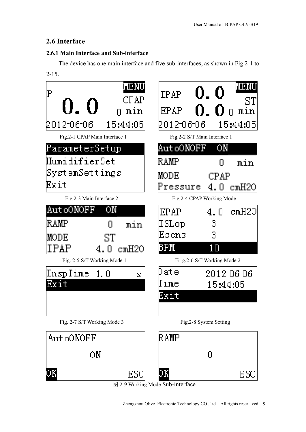## **2.6 Interface**

#### **2.6.1 Main Interface and Sub-interface**

The device has one main interface and five sub-interfaces, as shown in Fig.2-1 to 2-15.



图 2-9 Working Mode Sub-interface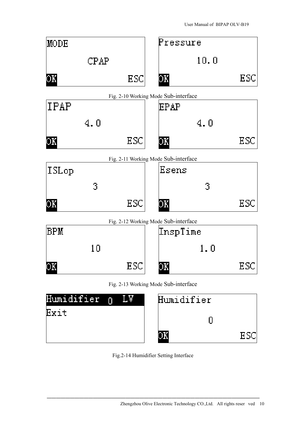

| Humidifier n LV | Humidifier |  |
|-----------------|------------|--|
| Exit            |            |  |
|                 |            |  |

Fig.2-14 Humidifier Setting Interface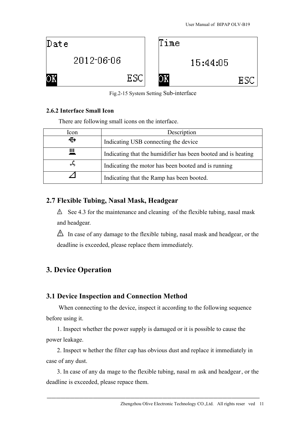

Fig.2-15 System Setting Sub-interface

#### **2.6.2 Interface Small Icon**

There are following small icons on the interface.

| Icon   | Description                                                   |
|--------|---------------------------------------------------------------|
| $\div$ | Indicating USB connecting the device                          |
| Ш      | Indicating that the humidifier has been booted and is heating |
| л,     | Indicating the motor has been booted and is running           |
|        | Indicating that the Ramp has been booted.                     |

## **2.7 Flexible Tubing, Nasal Mask, Headgear**

 $\triangle$  See 4.3 for the maintenance and cleaning of the flexible tubing, nasal mask and headgear.

 $\triangle$  In case of any damage to the flexible tubing, nasal mask and headgear, or the deadline is exceeded, please replace them immediately.

# **3. Device Operation**

## **3.1 Device Inspection and Connection Method**

When connecting to the device, inspect it according to the following sequence before using it.

1. Inspect whether the power supply is damaged or it is possible to cause the power leakage.

2. Inspect w hether the filter cap has obvious dust and replace it immediately in case of any dust.

3. In case of any da mage to the flexible tubing, nasal m ask and headgear, or the deadline is exceeded, please repace them.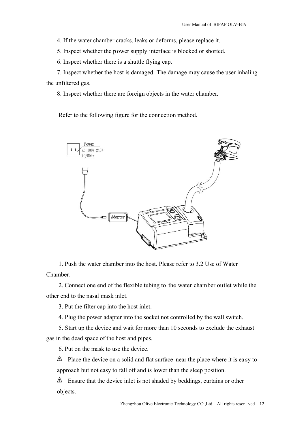4. If the water chamber cracks, leaks or deforms, please replace it.

5. Inspect whether the power supply interface is blocked or shorted.

6. Inspect whether there is a shuttle flying cap.

7. Inspect whether the host is damaged. The damage may cause the user inhaling the unfiltered gas.

8. Inspect whether there are foreign objects in the water chamber.

Refer to the following figure for the connection method.



1. Push the water chamber into the host. Please refer to 3.2 Use of Water Chamber.

2. Connect one end of the flexible tubing to the water chamber outlet while the other end to the nasal mask inlet.

3. Put the filter cap into the host inlet.

4. Plug the power adapter into the socket not controlled by the wall switch.

5. Start up the device and wait for more than 10 seconds to exclude the exhaust gas in the dead space of the host and pipes.

6. Put on the mask to use the device.

 $\triangle$  Place the device on a solid and flat surface near the place where it is easy to approach but not easy to fall off and is lower than the sleep position.

 $\triangle$  Ensure that the device inlet is not shaded by beddings, curtains or other objects.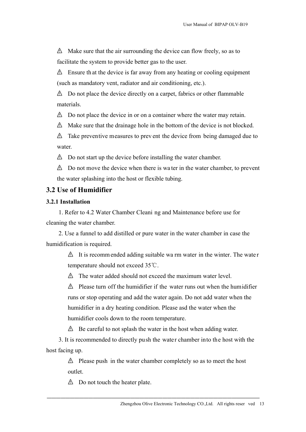$\triangle$  Make sure that the air surrounding the device can flow freely, so as to facilitate the system to provide better gas to the user.

 $\triangle$  Ensure that the device is far away from any heating or cooling equipment (such as mandatory vent, radiator and air conditioning, etc.).

 $\triangle$  Do not place the device directly on a carpet, fabrics or other flammable materials.

 $\triangle$  Do not place the device in or on a container where the water may retain.

 $\triangle$  Make sure that the drainage hole in the bottom of the device is not blocked.

 $\triangle$  Take preventive measures to prev ent the device from being damaged due to water.

 $\triangle$  Do not start up the device before installing the water chamber.

 $\triangle$  Do not move the device when there is water in the water chamber, to prevent the water splashing into the host or flexible tubing.

## **3.2 Use of Humidifier**

#### **3.2.1 Installation**

1. Refer to 4.2 Water Chamber Cleani ng and Maintenance before use for cleaning the water chamber.

2. Use a funnel to add distilled or pure water in the water chamber in case the humidification is required.

> $\Delta$  It is recomm ended adding suitable wa rm water in the winter. The water temperature should not exceed 35℃.

 $\triangle$  The water added should not exceed the maximum water level.

 $\triangle$  Please turn off the humidifier if the water runs out when the humidifier runs or stop operating and add the water again. Do not add water when the humidifier in a dry heating condition. Please asd the water when the humidifier cools down to the room temperature.

 $\triangle$  Be careful to not splash the water in the host when adding water.

3. It is recommended to directly push the water chamber into the host with the host facing up.

> $\triangle$  Please push in the water chamber completely so as to meet the host outlet.

──────────────────────────────────────────────

 $\triangle$  Do not touch the heater plate.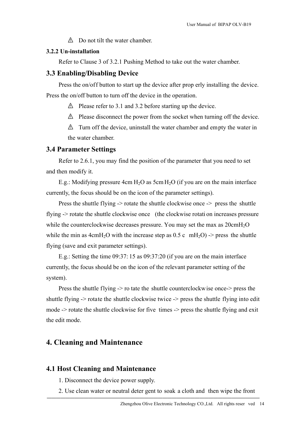$\triangle$  Do not tilt the water chamber.

#### **3.2.2 Un-installation**

Refer to Clause 3 of 3.2.1 Pushing Method to take out the water chamber.

#### **3.3 Enabling/Disabling Device**

Press the on/off button to start up the device after prop erly installing the device. Press the on/off button to turn off the device in the operation.

 $\triangle$  Please refer to 3.1 and 3.2 before starting up the device.

 $\triangle$  Please disconnect the power from the socket when turning off the device.

 $\triangle$  Turn off the device, uninstall the water chamber and empty the water in the water chamber.

#### **3.4 Parameter Settings**

Refer to 2.6.1, you may find the position of the parameter that you need to set and then modify it.

E.g.: Modifying pressure 4cm  $H_2O$  as 5cm  $H_2O$  (if you are on the main interface currently, the focus should be on the icon of the parameter settings).

Press the shuttle flying -> rotate the shuttle clockwise once -> press the shuttle flying -> rotate the shuttle clockwise once (the clockwise rotati on increases pressure while the counterclockwise decreases pressure. You may set the max as  $20 \text{cm}H_2\text{O}$ while the min as  $4 \text{cm} H_2\text{O}$  with the increase step as 0.5 c mH<sub>2</sub>O) -> press the shuttle flying (save and exit parameter settings).

E.g.: Setting the time 09:37: 15 as 09:37:20 (if you are on the main interface currently, the focus should be on the icon of the relevant parameter setting of the system).

Press the shuttle flying -> ro tate the shuttle counterclockwise once-> press the shuttle flying -> rotate the shuttle clockwise twice -> press the shuttle flying into edit mode -> rotate the shuttle clockwise for five times -> press the shuttle flying and exit the edit mode.

### **4. Cleaning and Maintenance**

#### **4.1 Host Cleaning and Maintenance**

- 1. Disconnect the device power supply.
- 2. Use clean water or neutral deter gent to soak a cloth and then wipe the front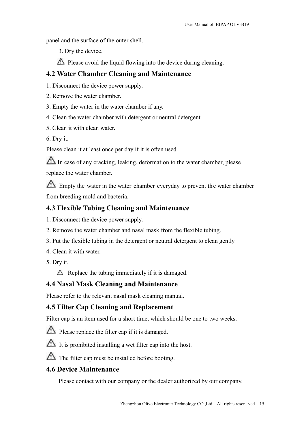panel and the surface of the outer shell.

3. Dry the device.

 $\triangle$  Please avoid the liquid flowing into the device during cleaning.

## **4.2 Water Chamber Cleaning and Maintenance**

1. Disconnect the device power supply.

- 2. Remove the water chamber.
- 3. Empty the water in the water chamber if any.
- 4. Clean the water chamber with detergent or neutral detergent.
- 5. Clean it with clean water.
- 6. Dry it.

Please clean it at least once per day if it is often used.

 $\sqrt{\Delta}$  In case of any cracking, leaking, deformation to the water chamber, please replace the water chamber.

Empty the water in the water chamber everyday to prevent the water chamber from breeding mold and bacteria.

# **4.3 Flexible Tubing Cleaning and Maintenance**

- 1. Disconnect the device power supply.
- 2. Remove the water chamber and nasal mask from the flexible tubing.
- 3. Put the flexible tubing in the detergent or neutral detergent to clean gently.
- 4. Clean it with water.
- 5. Dry it.

 $\triangle$  Replace the tubing immediately if it is damaged.

# **4.4 Nasal Mask Cleaning and Maintenance**

Please refer to the relevant nasal mask cleaning manual.

# **4.5 Filter Cap Cleaning and Replacement**

Filter cap is an item used for a short time, which should be one to two weeks.



 $\Delta$  It is prohibited installing a wet filter cap into the host.

 $\triangle$  The filter cap must be installed before booting.

# **4.6 Device Maintenance**

Please contact with our company or the dealer authorized by our company.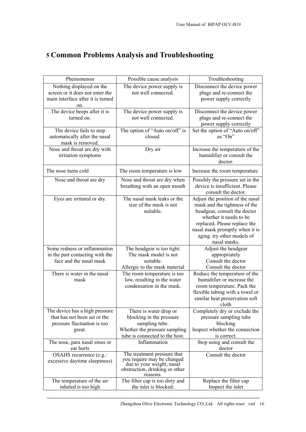| Phenomenon                        | Possible cause analysis                                     | Troubleshooting                  |
|-----------------------------------|-------------------------------------------------------------|----------------------------------|
| Nothing displayed on the          | The device power supply is                                  | Disconnect the device power      |
| screen or it does not enter the   | not well connected.                                         | plugs and re-connect the         |
| main interface after it is turned |                                                             | power supply correctly           |
| on.                               |                                                             |                                  |
| The device beeps after it is      | The device power supply is                                  | Disconnect the device power      |
| turned on.                        | not well connected.                                         | plugs and re-connect the         |
|                                   |                                                             | power supply correctly           |
| The device fails to stop          | The option of "Auto on/off" is                              | Set the option of "Auto on/off"  |
| automatically after the nasal     | closed.                                                     | as "On"                          |
| mask is removed.                  |                                                             |                                  |
| Nose and throat are dry with      | Dry air                                                     | Increase the temperature of the  |
| irritation symptoms               |                                                             | humidifier or consult the        |
|                                   |                                                             | doctor.                          |
| The nose turns cold               |                                                             |                                  |
|                                   | The room temperature is low                                 | Increase the room temperature    |
| Nose and throat are dry           | Nose and throat are dry when                                | Possibly the pressure set in the |
|                                   | breathing with an open mouth                                | device is insufficient. Please   |
|                                   |                                                             | consult the doctor.              |
| Eyes are irritated or dry.        | The nasal mask leaks or the                                 | Adjust the position of the nasal |
|                                   | size of the mask is not                                     | mask and the tightness of the    |
|                                   | suitable.                                                   | headgear, consult the doctor     |
|                                   |                                                             | whether it needs to be           |
|                                   |                                                             | replaced. Please replace the     |
|                                   |                                                             | nasal mask promptly when it is   |
|                                   |                                                             | aging. try other models of       |
|                                   |                                                             | nasal masks.                     |
| Some redness or inflammation      | The headgear is too tight.                                  | Adjust the headgear              |
| in the part contacting with the   | The mask model is not                                       | appropriately                    |
| face and the nasal mask           | suitable.                                                   | Consult the doctor               |
|                                   | Allergic to the mask material                               | Consult the doctor               |
| There is water in the nasal       | The room temperature is too                                 | Reduce the temperature of the    |
| mask                              | low, resulting in the water                                 | humidifier or increase the       |
|                                   | condensation in the mask.                                   | room temperature. Pack the       |
|                                   |                                                             | flexible tubing with a towel or  |
|                                   |                                                             | similar heat preservation soft   |
|                                   |                                                             | cloth                            |
| The device has a high pressure    | There is water drop or                                      | Completely dry or exclude the    |
| that has not been set or the      | blocking in the pressure                                    | pressure sampling tube           |
| pressure fluctuation is too       | sampling tube.                                              | blocking                         |
| great.                            | Whether the pressure sampling                               | Inspect whether the connection   |
|                                   | tube is connected to the host.                              | is correct.                      |
| The nose, para nasal sinus or     | Inflammation                                                | Stop using and consult the       |
| ear hurts                         |                                                             | doctor                           |
| OSAHS recurrence (e.g.:           | The treatment pressure that                                 | Consult the doctor               |
| excessive daytime sleepiness)     | you require may be changed                                  |                                  |
|                                   | due to your weight, nasal<br>obstruction, drinking or other |                                  |
|                                   | reasons.                                                    |                                  |
| The temperature of the air        | The filter cap is too dirty and                             | Replace the filter cap           |
| inhaled is too high               | the inlet is blocked.                                       | Inspect the inlet                |

──────────────────────────────────────────────

# **5 Common Problems Analysis and Troubleshooting**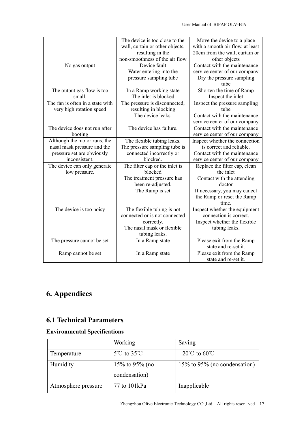|                                  | The device is too close to the  | Move the device to a place       |
|----------------------------------|---------------------------------|----------------------------------|
|                                  | wall, curtain or other objects, | with a smooth air flow, at least |
|                                  | resulting in the                | 20cm from the wall, curtain or   |
|                                  | non-smoothness of the air flow  | other objects                    |
| No gas output                    | Device fault                    | Contact with the maintenance     |
|                                  | Water entering into the         | service center of our company    |
|                                  | pressure sampling tube          | Dry the pressure sampling        |
|                                  |                                 | tube                             |
| The output gas flow is too       | In a Ramp working state         | Shorten the time of Ramp         |
| small.                           | The inlet is blocked            | Inspect the inlet                |
| The fan is often in a state with | The pressure is disconnected,   | Inspect the pressure sampling    |
| very high rotation speed         | resulting in blocking           | tube                             |
|                                  | The device leaks.               | Contact with the maintenance     |
|                                  |                                 | service center of our company    |
| The device does not run after    | The device has failure.         | Contact with the maintenance     |
| booting                          |                                 | service center of our company    |
| Although the motor runs, the     | The flexible tubing leaks.      | Inspect whether the connection   |
| nasal mask pressure and the      | The pressure sampling tube is   | is correct and reliable.         |
| pressure set are obviously       | connected incorrectly or        | Contact with the maintenance     |
| inconsistent.                    | blocked.                        | service center of our company    |
| The device can only generate     | The filter cap or the inlet is  | Replace the filter cap, clean    |
| low pressure.                    | blocked                         | the inlet                        |
|                                  | The treatment pressure has      | Contact with the attending       |
|                                  | been re-adjusted.               | doctor                           |
|                                  | The Ramp is set                 | If necessary, you may cancel     |
|                                  |                                 | the Ramp or reset the Ramp       |
|                                  |                                 | time.                            |
| The device is too noisy          | The flexible tubing is not      | Inspect whether the equipment    |
|                                  | connected or is not connected   | connection is correct.           |
|                                  | correctly.                      | Inspect whether the flexible     |
|                                  | The nasal mask or flexible      | tubing leaks.                    |
|                                  | tubing leaks.                   |                                  |
| The pressure cannot be set       | In a Ramp state                 | Please exit from the Ramp        |
|                                  |                                 | state and re-set it.             |
| Ramp cannot be set               | In a Ramp state                 | Please exit from the Ramp        |
|                                  |                                 | state and re-set it.             |

# **6. Appendices**

# **6.1 Technical Parameters**

# **Environmental Specifications**

|                     | Working                         | Saving                       |
|---------------------|---------------------------------|------------------------------|
| Temperature         | $5^{\circ}$ C to $35^{\circ}$ C | $-20^{\circ}$ to 60 °C       |
| Humidity            | 15\% to 95\% (no                | 15% to 95% (no condensation) |
|                     | condensation)                   |                              |
| Atmosphere pressure | 77 to 101kPa                    | Inapplicable                 |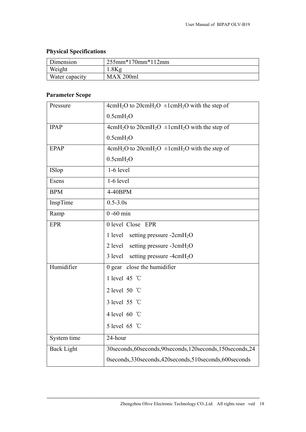# **Physical Specifications**

| Dimension      | $255mm*170mm*112mm$ |
|----------------|---------------------|
| Weight         | .8Kg                |
| Water capacity | MAX 200ml           |

# **Parameter Scope**

| Pressure          | $4cmH2O$ to $20cmH2O \pm1cmH2O$ with the step of            |  |
|-------------------|-------------------------------------------------------------|--|
|                   | $0.5$ cm $H2O$                                              |  |
| <b>IPAP</b>       | $4cmH2O$ to $20cmH2O \pm1cmH2O$ with the step of            |  |
|                   | $0.5$ cm $H2O$                                              |  |
| <b>EPAP</b>       | $4cmH2O$ to $20cmH2O \pm1cmH2O$ with the step of            |  |
|                   | $0.5$ cm $H2O$                                              |  |
| ISlop             | $1-6$ level                                                 |  |
| Esens             | $1-6$ level                                                 |  |
| <b>BPM</b>        | 4-40BPM                                                     |  |
| InspTime          | $0.5 - 3.0s$                                                |  |
| Ramp              | $0 - 60$ min                                                |  |
| <b>EPR</b>        | 0 level Close EPR                                           |  |
|                   | 1 level setting pressure -2cmH <sub>2</sub> O               |  |
|                   | 2 level setting pressure -3cm $H_2O$                        |  |
|                   | setting pressure -4cmH <sub>2</sub> O<br>3 level            |  |
| Humidifier        | 0 gear close the humidifier                                 |  |
|                   | 1 level 45 °C                                               |  |
|                   | 2 level 50 $\degree$ C                                      |  |
|                   | 3 level 55 °C                                               |  |
|                   | 4 level 60 °C                                               |  |
|                   | 5 level 65 °C                                               |  |
| System time       | 24-hour                                                     |  |
| <b>Back Light</b> | 30seconds, 60seconds, 90seconds, 120seconds, 150seconds, 24 |  |
|                   | 0seconds, 330seconds, 420seconds, 510seconds, 600seconds    |  |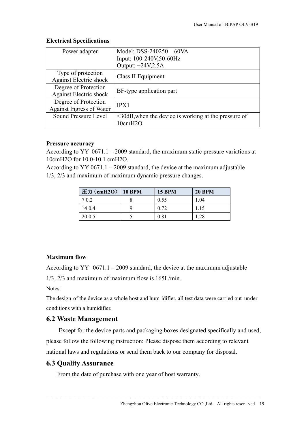| Power adapter                 | Model: DSS-240250 60VA                                     |  |  |
|-------------------------------|------------------------------------------------------------|--|--|
|                               | Input: 100-240V,50-60Hz                                    |  |  |
|                               | Output: +24V,2.5A                                          |  |  |
| Type of protection            | Class II Equipment                                         |  |  |
| <b>Against Electric shock</b> |                                                            |  |  |
| Degree of Protection          | BF-type application part                                   |  |  |
| <b>Against Electric shock</b> |                                                            |  |  |
| Degree of Protection          | IPX1                                                       |  |  |
| Against Ingress of Water      |                                                            |  |  |
| Sound Pressure Level          | $\leq$ 30dB, when the device is working at the pressure of |  |  |
|                               | 10cmH2O                                                    |  |  |

#### **Electrical Specifications**

#### **Pressure accuracy**

According to YY 0671.1 – 2009 standard, the maximum static pressure variations at 10cmH2O for 10.0-10.1 cmH2O.

According to  $YY 0671.1 - 2009$  standard, the device at the maximum adjustable 1/3, 2/3 and maximum of maximum dynamic pressure changes.

| 压力(cmH2O) 10 BPM | <b>15 BPM</b> | <b>20 BPM</b> |
|------------------|---------------|---------------|
| 702              | 0.55          | 1.04          |
| 14 0.4           | 0.72          | 1.15          |
| 20 0.5           | 0.81          | 1.28          |

#### **Maximum flow**

According to YY  $0671.1 - 2009$  standard, the device at the maximum adjustable

1/3, 2/3 and maximum of maximum flow is 165L/min.

Notes:

The design of the device as a whole host and hum idifier, all test data were carried out under conditions with a humidifier.

## **6.2 Waste Management**

Except for the device parts and packaging boxes designated specifically and used, please follow the following instruction: Please dispose them according to relevant national laws and regulations or send them back to our company for disposal.

──────────────────────────────────────────────

## **6.3 Quality Assurance**

From the date of purchase with one year of host warranty.